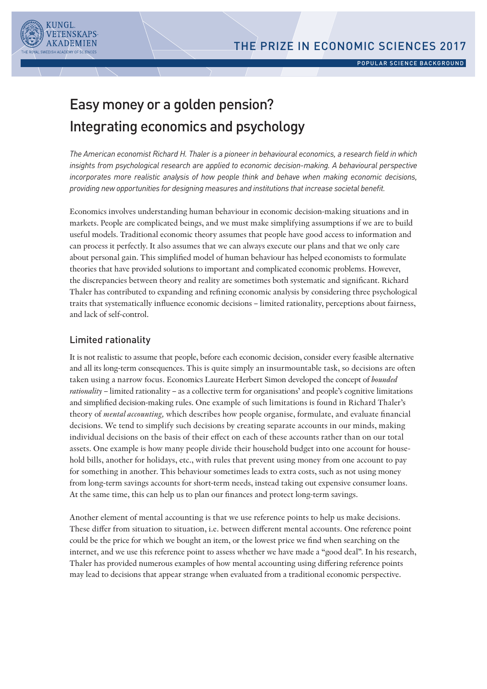

# Easy money or a golden pension? Integrating economics and psychology

*The American economist Richard H. Thaler is a pioneer in behavioural economics, a research field in which insights from psychological research are applied to economic decision-making. A behavioural perspective incorporates more realistic analysis of how people think and behave when making economic decisions, providing new opportunities for designing measures and institutions that increase societal benefit.*

Economics involves understanding human behaviour in economic decision-making situations and in markets. People are complicated beings, and we must make simplifying assumptions if we are to build useful models. Traditional economic theory assumes that people have good access to information and can process it perfectly. It also assumes that we can always execute our plans and that we only care about personal gain. This simplified model of human behaviour has helped economists to formulate theories that have provided solutions to important and complicated economic problems. However, the discrepancies between theory and reality are sometimes both systematic and significant. Richard Thaler has contributed to expanding and refining economic analysis by considering three psychological traits that systematically influence economic decisions – limited rationality, perceptions about fairness, and lack of self-control.

# Limited rationality

It is not realistic to assume that people, before each economic decision, consider every feasible alternative and all its long-term consequences. This is quite simply an insurmountable task, so decisions are often taken using a narrow focus. Economics Laureate Herbert Simon developed the concept of *bounded rationality* – limited rationality – as a collective term for organisations' and people's cognitive limitations and simplified decision-making rules. One example of such limitations is found in Richard Thaler's theory of *mental accounting,* which describes how people organise, formulate, and evaluate financial decisions. We tend to simplify such decisions by creating separate accounts in our minds, making individual decisions on the basis of their effect on each of these accounts rather than on our total assets. One example is how many people divide their household budget into one account for household bills, another for holidays, etc., with rules that prevent using money from one account to pay for something in another. This behaviour sometimes leads to extra costs, such as not using money from long-term savings accounts for short-term needs, instead taking out expensive consumer loans. At the same time, this can help us to plan our finances and protect long-term savings.

Another element of mental accounting is that we use reference points to help us make decisions. These differ from situation to situation, i.e. between different mental accounts. One reference point could be the price for which we bought an item, or the lowest price we find when searching on the internet, and we use this reference point to assess whether we have made a "good deal". In his research, Thaler has provided numerous examples of how mental accounting using differing reference points may lead to decisions that appear strange when evaluated from a traditional economic perspective.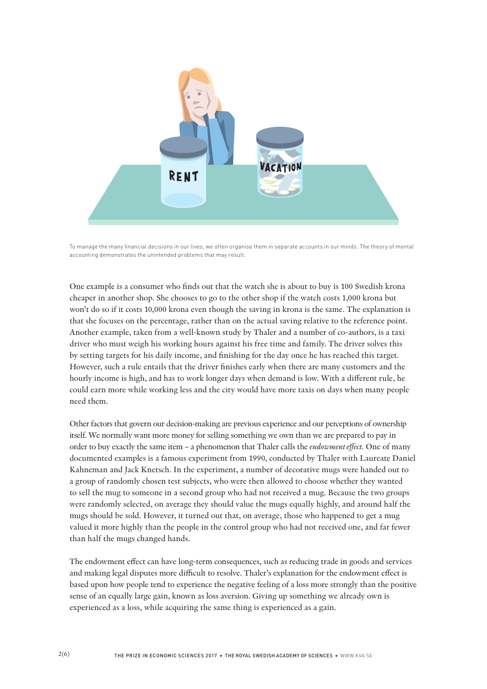

To manage the many financial decisions in our lives, we often organise them in separate accounts in our minds. The theory of mental accounting demonstrates the unintended problems that may result.

One example is a consumer who finds out that the watch she is about to buy is 100 Swedish krona cheaper in another shop. She chooses to go to the other shop if the watch costs 1,000 krona but won't do so if it costs 10,000 krona even though the saving in krona is the same. The explanation is that she focuses on the percentage, rather than on the actual saving relative to the reference point. Another example, taken from a well-known study by Thaler and a number of co-authors, is a taxi driver who must weigh his working hours against his free time and family. The driver solves this by setting targets for his daily income, and finishing for the day once he has reached this target. However, such a rule entails that the driver finishes early when there are many customers and the hourly income is high, and has to work longer days when demand is low. With a different rule, he could earn more while working less and the city would have more taxis on days when many people need them.

Other factors that govern our decision-making are previous experience and our perceptions of ownership itself. We normally want more money for selling something we own than we are prepared to pay in order to buy exactly the same item – a phenomenon that Thaler calls the *endowment effect.* One of many documented examples is a famous experiment from 1990, conducted by Thaler with Laureate Daniel Kahneman and Jack Knetsch. In the experiment, a number of decorative mugs were handed out to a group of randomly chosen test subjects, who were then allowed to choose whether they wanted to sell the mug to someone in a second group who had not received a mug. Because the two groups were randomly selected, on average they should value the mugs equally highly, and around half the mugs should be sold. However, it turned out that, on average, those who happened to get a mug valued it more highly than the people in the control group who had not received one, and far fewer than half the mugs changed hands.

The endowment effect can have long-term consequences, such as reducing trade in goods and services and making legal disputes more difficult to resolve. Thaler's explanation for the endowment effect is based upon how people tend to experience the negative feeling of a loss more strongly than the positive sense of an equally large gain, known as loss aversion. Giving up something we already own is experienced as a loss, while acquiring the same thing is experienced as a gain.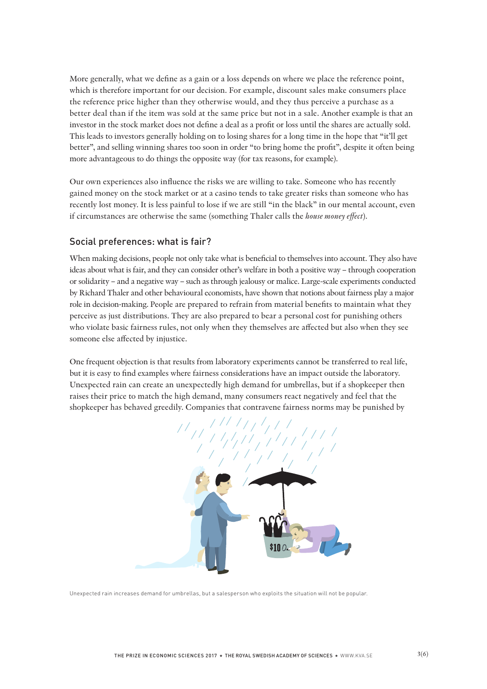More generally, what we define as a gain or a loss depends on where we place the reference point, which is therefore important for our decision. For example, discount sales make consumers place the reference price higher than they otherwise would, and they thus perceive a purchase as a better deal than if the item was sold at the same price but not in a sale. Another example is that an investor in the stock market does not define a deal as a profit or loss until the shares are actually sold. This leads to investors generally holding on to losing shares for a long time in the hope that "it'll get better", and selling winning shares too soon in order "to bring home the profit", despite it often being more advantageous to do things the opposite way (for tax reasons, for example).

Our own experiences also influence the risks we are willing to take. Someone who has recently gained money on the stock market or at a casino tends to take greater risks than someone who has recently lost money. It is less painful to lose if we are still "in the black" in our mental account, even if circumstances are otherwise the same (something Thaler calls the *house money effect*).

## Social preferences: what is fair?

When making decisions, people not only take what is beneficial to themselves into account. They also have ideas about what is fair, and they can consider other's welfare in both a positive way – through cooperation or solidarity – and a negative way – such as through jealousy or malice. Large-scale experiments conducted by Richard Thaler and other behavioural economists, have shown that notions about fairness play a major role in decision-making. People are prepared to refrain from material benefits to maintain what they perceive as just distributions. They are also prepared to bear a personal cost for punishing others who violate basic fairness rules, not only when they themselves are affected but also when they see someone else affected by injustice.

One frequent objection is that results from laboratory experiments cannot be transferred to real life, but it is easy to find examples where fairness considerations have an impact outside the laboratory. Unexpected rain can create an unexpectedly high demand for umbrellas, but if a shopkeeper then raises their price to match the high demand, many consumers react negatively and feel that the shopkeeper has behaved greedily. Companies that contravene fairness norms may be punished by



Unexpected rain increases demand for umbrellas, but a salesperson who exploits the situation will not be popular.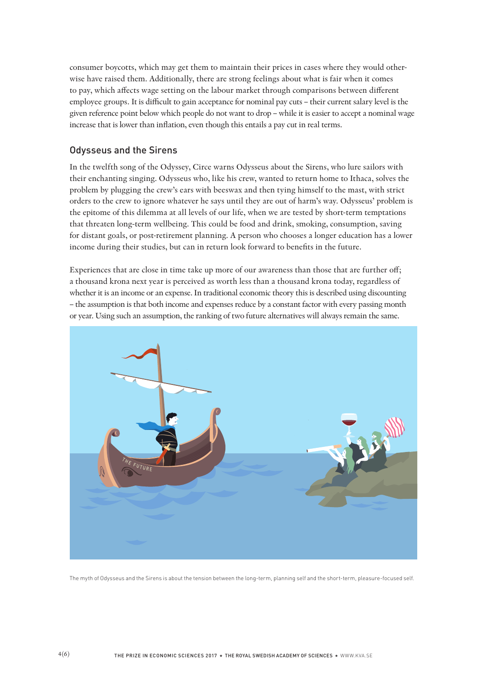consumer boycotts, which may get them to maintain their prices in cases where they would otherwise have raised them. Additionally, there are strong feelings about what is fair when it comes to pay, which affects wage setting on the labour market through comparisons between different employee groups. It is difficult to gain acceptance for nominal pay cuts – their current salary level is the given reference point below which people do not want to drop – while it is easier to accept a nominal wage increase that is lower than inflation, even though this entails a pay cut in real terms.

## Odysseus and the Sirens

In the twelfth song of the Odyssey, Circe warns Odysseus about the Sirens, who lure sailors with their enchanting singing. Odysseus who, like his crew, wanted to return home to Ithaca, solves the problem by plugging the crew's ears with beeswax and then tying himself to the mast, with strict orders to the crew to ignore whatever he says until they are out of harm's way. Odysseus' problem is the epitome of this dilemma at all levels of our life, when we are tested by short-term temptations that threaten long-term wellbeing. This could be food and drink, smoking, consumption, saving for distant goals, or post-retirement planning. A person who chooses a longer education has a lower income during their studies, but can in return look forward to benefits in the future.

Experiences that are close in time take up more of our awareness than those that are further off; a thousand krona next year is perceived as worth less than a thousand krona today, regardless of whether it is an income or an expense. In traditional economic theory this is described using discounting – the assumption is that both income and expenses reduce by a constant factor with every passing month or year. Using such an assumption, the ranking of two future alternatives will always remain the same.



The myth of Odysseus and the Sirens is about the tension between the long-term, planning self and the short-term, pleasure-focused self.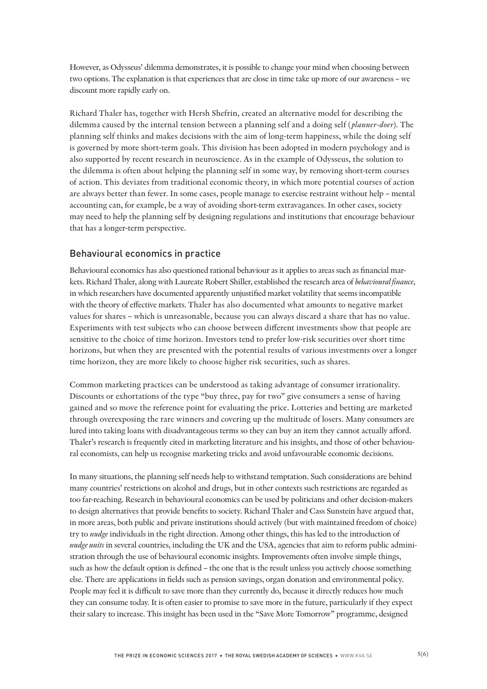However, as Odysseus' dilemma demonstrates, it is possible to change your mind when choosing between two options. The explanation is that experiences that are close in time take up more of our awareness – we discount more rapidly early on.

Richard Thaler has, together with Hersh Shefrin, created an alternative model for describing the dilemma caused by the internal tension between a planning self and a doing self (*planner-doer*). The planning self thinks and makes decisions with the aim of long-term happiness, while the doing self is governed by more short-term goals. This division has been adopted in modern psychology and is also supported by recent research in neuroscience. As in the example of Odysseus, the solution to the dilemma is often about helping the planning self in some way, by removing short-term courses of action. This deviates from traditional economic theory, in which more potential courses of action are always better than fewer. In some cases, people manage to exercise restraint without help – mental accounting can, for example, be a way of avoiding short-term extravagances. In other cases, society may need to help the planning self by designing regulations and institutions that encourage behaviour that has a longer-term perspective.

## Behavioural economics in practice

Behavioural economics has also questioned rational behaviour as it applies to areas such as financial markets. Richard Thaler, along with Laureate Robert Shiller, established the research area of *behavioural finance*, in which researchers have documented apparently unjustified market volatility that seems incompatible with the theory of effective markets. Thaler has also documented what amounts to negative market values for shares – which is unreasonable, because you can always discard a share that has no value. Experiments with test subjects who can choose between different investments show that people are sensitive to the choice of time horizon. Investors tend to prefer low-risk securities over short time horizons, but when they are presented with the potential results of various investments over a longer time horizon, they are more likely to choose higher risk securities, such as shares.

Common marketing practices can be understood as taking advantage of consumer irrationality. Discounts or exhortations of the type "buy three, pay for two" give consumers a sense of having gained and so move the reference point for evaluating the price. Lotteries and betting are marketed through overexposing the rare winners and covering up the multitude of losers. Many consumers are lured into taking loans with disadvantageous terms so they can buy an item they cannot actually afford. Thaler's research is frequently cited in marketing literature and his insights, and those of other behavioural economists, can help us recognise marketing tricks and avoid unfavourable economic decisions.

In many situations, the planning self needs help to withstand temptation. Such considerations are behind many countries' restrictions on alcohol and drugs, but in other contexts such restrictions are regarded as too far-reaching. Research in behavioural economics can be used by politicians and other decision-makers to design alternatives that provide benefits to society. Richard Thaler and Cass Sunstein have argued that, in more areas, both public and private institutions should actively (but with maintained freedom of choice) try to *nudge* individuals in the right direction. Among other things, this has led to the introduction of *nudge units* in several countries, including the UK and the USA, agencies that aim to reform public administration through the use of behavioural economic insights. Improvements often involve simple things, such as how the default option is defined – the one that is the result unless you actively choose something else. There are applications in fields such as pension savings, organ donation and environmental policy. People may feel it is difficult to save more than they currently do, because it directly reduces how much they can consume today. It is often easier to promise to save more in the future, particularly if they expect their salary to increase. This insight has been used in the "Save More Tomorrow" programme, designed